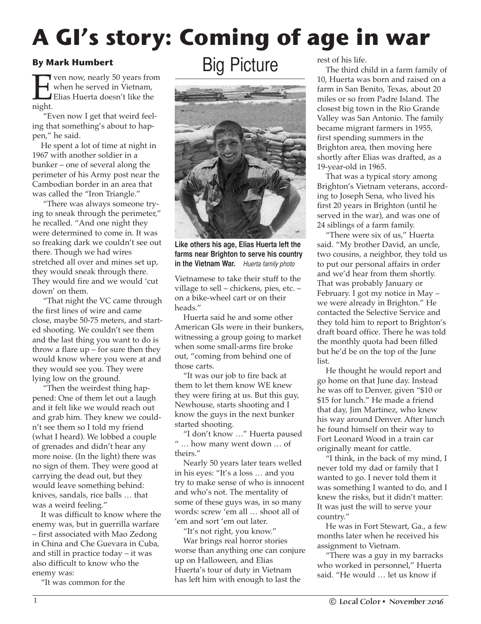## **A GI's story: Coming of age in war**

## **By Mark Humbert**

**Even now, nearly 50 years from**<br>Elias Huerta doesn't like the night. when he served in Vietnam, Elias Huerta doesn't like the night.

"Even now I get that weird feeling that something's about to happen," he said.

He spent a lot of time at night in 1967 with another soldier in a bunker – one of several along the perimeter of his Army post near the Cambodian border in an area that was called the "Iron Triangle."

"There was always someone trying to sneak through the perimeter," he recalled. "And one night they were determined to come in. It was so freaking dark we couldn't see out there. Though we had wires stretched all over and mines set up, they would sneak through there. They would fire and we would 'cut down' on them.

"That night the VC came through the first lines of wire and came close, maybe 50-75 meters, and started shooting. We couldn't see them and the last thing you want to do is throw a flare  $up$  – for sure then they would know where you were at and they would see you. They were lying low on the ground.

"Then the weirdest thing happened: One of them let out a laugh and it felt like we would reach out and grab him. They knew we couldn't see them so I told my friend (what I heard). We lobbed a couple of grenades and didn't hear any more noise. (In the light) there was no sign of them. They were good at carrying the dead out, but they would leave something behind: knives, sandals, rice balls … that was a weird feeling."

It was difficult to know where the enemy was, but in guerrilla warfare – first associated with Mao Zedong in China and Che Guevara in Cuba, and still in practice today – it was also difficult to know who the enemy was:

"It was common for the

## Big Picture



**Like others his age, Elias Huerta left the farms near Brighton to serve his country in the Vietnam War.** *Huerta family photo*

Vietnamese to take their stuff to the village to sell – chickens, pies, etc. – on a bike-wheel cart or on their heads."

Huerta said he and some other American GIs were in their bunkers, witnessing a group going to market when some small-arms fire broke out, "coming from behind one of those carts.

"It was our job to fire back at them to let them know WE knew they were firing at us. But this guy, Newhouse, starts shooting and I know the guys in the next bunker started shooting.

"I don't know …" Huerta paused " … how many went down … of theirs."

Nearly 50 years later tears welled in his eyes: "It's a loss … and you try to make sense of who is innocent and who's not. The mentality of some of these guys was, in so many words: screw 'em all … shoot all of 'em and sort 'em out later.

"It's not right, you know."

War brings real horror stories worse than anything one can conjure up on Halloween, and Elias Huerta's tour of duty in Vietnam has left him with enough to last the

rest of his life.

The third child in a farm family of 10, Huerta was born and raised on a farm in San Benito, Texas, about 20 miles or so from Padre Island. The closest big town in the Rio Grande Valley was San Antonio. The family became migrant farmers in 1955, first spending summers in the Brighton area, then moving here shortly after Elias was drafted, as a 19-year-old in 1965.

That was a typical story among Brighton's Vietnam veterans, according to Joseph Sena, who lived his first 20 years in Brighton (until he served in the war), and was one of 24 siblings of a farm family.

"There were six of us," Huerta said. "My brother David, an uncle, two cousins, a neighbor, they told us to put our personal affairs in order and we'd hear from them shortly. That was probably January or February. I got my notice in May – we were already in Brighton." He contacted the Selective Service and they told him to report to Brighton's draft board office. There he was told the monthly quota had been filled but he'd be on the top of the June list.

He thought he would report and go home on that June day. Instead he was off to Denver, given "\$10 or \$15 for lunch." He made a friend that day, Jim Martinez, who knew his way around Denver. After lunch he found himself on their way to Fort Leonard Wood in a train car originally meant for cattle.

"I think, in the back of my mind, I never told my dad or family that I wanted to go. I never told them it was something I wanted to do, and I knew the risks, but it didn't matter: It was just the will to serve your country."

He was in Fort Stewart, Ga., a few months later when he received his assignment to Vietnam.

"There was a guy in my barracks who worked in personnel," Huerta said. "He would … let us know if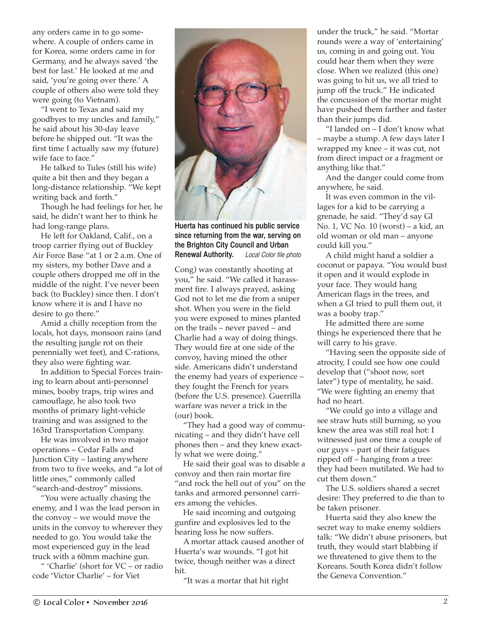any orders came in to go somewhere. A couple of orders came in for Korea, some orders came in for Germany, and he always saved 'the best for last.' He looked at me and said, 'you're going over there.' A couple of others also were told they were going (to Vietnam).

"I went to Texas and said my goodbyes to my uncles and family," he said about his 30-day leave before he shipped out. "It was the first time I actually saw my (future) wife face to face."

He talked to Tules (still his wife) quite a bit then and they began a long-distance relationship. "We kept writing back and forth."

Though he had feelings for her, he said, he didn't want her to think he had long-range plans.

He left for Oakland, Calif., on a troop carrier flying out of Buckley Air Force Base "at 1 or 2 a.m. One of my sisters, my bother Dave and a couple others dropped me off in the middle of the night. I've never been back (to Buckley) since then. I don't know where it is and I have no desire to go there."

Amid a chilly reception from the locals, hot days, monsoon rains (and the resulting jungle rot on their perennially wet feet), and C-rations, they also were fighting war.

In addition to Special Forces training to learn about anti-personnel mines, booby traps, trip wires and camouflage, he also took two months of primary light-vehicle training and was assigned to the 163rd Transportation Company.

He was involved in two major operations – Cedar Falls and Junction City – lasting anywhere from two to five weeks, and "a lot of little ones," commonly called "search-and-destroy" missions.

"You were actually chasing the enemy, and I was the lead person in the convoy – we would move the units in the convoy to wherever they needed to go. You would take the most experienced guy in the lead truck with a 60mm machine gun.

" 'Charlie' (short for VC – or radio code 'Victor Charlie' – for Viet



**since returning from the war, serving on the Brighton City Council and Urban Renewal Authority.** *Local Color file photo*

Cong) was constantly shooting at you," he said. "We called it harassment fire. I always prayed, asking God not to let me die from a sniper shot. When you were in the field you were exposed to mines planted on the trails – never paved – and Charlie had a way of doing things. They would fire at one side of the convoy, having mined the other side. Americans didn't understand the enemy had years of experience – they fought the French for years (before the U.S. presence). Guerrilla warfare was never a trick in the (our) book.

"They had a good way of communicating – and they didn't have cell phones then – and they knew exactly what we were doing."

He said their goal was to disable a convoy and then rain mortar fire "and rock the hell out of you" on the tanks and armored personnel carriers among the vehicles.

He said incoming and outgoing gunfire and explosives led to the hearing loss he now suffers.

A mortar attack caused another of Huerta's war wounds. "I got hit twice, though neither was a direct hit.

"It was a mortar that hit right

under the truck," he said. "Mortar rounds were a way of 'entertaining' us, coming in and going out. You could hear them when they were close. When we realized (this one) was going to hit us, we all tried to jump off the truck." He indicated the concussion of the mortar might have pushed them farther and faster than their jumps did.

"I landed on – I don't know what – maybe a stump. A few days later I wrapped my knee – it was cut, not from direct impact or a fragment or anything like that."

And the danger could come from anywhere, he said.

It was even common in the villages for a kid to be carrying a grenade, he said. "They'd say GI No. 1, VC No. 10 (worst) – a kid, an old woman or old man – anyone could kill you."

A child might hand a soldier a coconut or papaya. "You would bust it open and it would explode in your face. They would hang American flags in the trees, and when a GI tried to pull them out, it was a booby trap."

He admitted there are some things he experienced there that he will carry to his grave.

"Having seen the opposite side of atrocity, I could see how one could develop that ("shoot now, sort later") type of mentality, he said. "We were fighting an enemy that had no heart.

"We could go into a village and see straw huts still burning, so you knew the area was still real hot: I witnessed just one time a couple of our guys – part of their fatigues ripped off – hanging from a tree: they had been mutilated. We had to cut them down."

The U.S. soldiers shared a secret desire: They preferred to die than to be taken prisoner.

Huerta said they also knew the secret way to make enemy soldiers talk: "We didn't abuse prisoners, but truth, they would start blabbing if we threatened to give them to the Koreans. South Korea didn't follow the Geneva Convention."